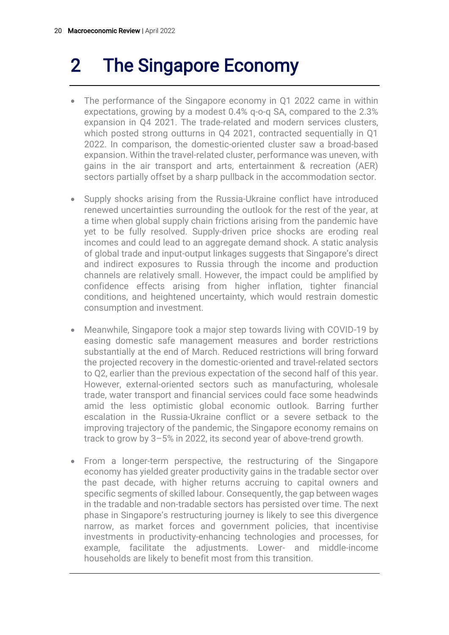# 2 The Singapore Economy

- The performance of the Singapore economy in Q1 2022 came in within expectations, growing by a modest 0.4% q-o-q SA, compared to the 2.3% expansion in Q4 2021. The trade-related and modern services clusters, which posted strong outturns in Q4 2021, contracted sequentially in Q1 2022. In comparison, the domestic-oriented cluster saw a broad-based expansion. Within the travel-related cluster, performance was uneven, with gains in the air transport and arts, entertainment & recreation (AER) sectors partially offset by a sharp pullback in the accommodation sector.
- Supply shocks arising from the Russia-Ukraine conflict have introduced renewed uncertainties surrounding the outlook for the rest of the year, at a time when global supply chain frictions arising from the pandemic have yet to be fully resolved. Supply-driven price shocks are eroding real incomes and could lead to an aggregate demand shock. A static analysis of global trade and input-output linkages suggests that Singapore's direct and indirect exposures to Russia through the income and production channels are relatively small. However, the impact could be amplified by confidence effects arising from higher inflation, tighter financial conditions, and heightened uncertainty, which would restrain domestic consumption and investment.
- Meanwhile, Singapore took a major step towards living with COVID-19 by easing domestic safe management measures and border restrictions substantially at the end of March. Reduced restrictions will bring forward the projected recovery in the domestic-oriented and travel-related sectors to Q2, earlier than the previous expectation of the second half of this year. However, external-oriented sectors such as manufacturing, wholesale trade, water transport and financial services could face some headwinds amid the less optimistic global economic outlook. Barring further escalation in the Russia-Ukraine conflict or a severe setback to the improving trajectory of the pandemic, the Singapore economy remains on track to grow by 3–5% in 2022, its second year of above-trend growth.
- From a longer-term perspective, the restructuring of the Singapore economy has yielded greater productivity gains in the tradable sector over the past decade, with higher returns accruing to capital owners and specific segments of skilled labour. Consequently, the gap between wages in the tradable and non-tradable sectors has persisted over time. The next phase in Singapore's restructuring journey is likely to see this divergence narrow, as market forces and government policies, that incentivise investments in productivity-enhancing technologies and processes, for example, facilitate the adjustments. Lower- and middle-income households are likely to benefit most from this transition.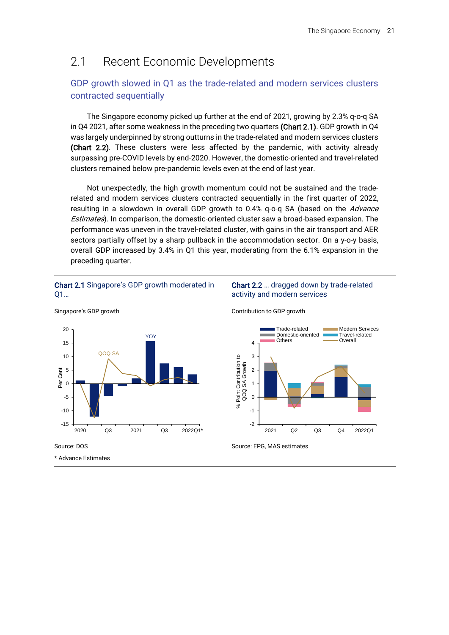## 2.1 Recent Economic Developments

### GDP growth slowed in Q1 as the trade-related and modern services clusters contracted sequentially

The Singapore economy picked up further at the end of 2021, growing by 2.3% q-o-q SA in Q4 2021, after some weakness in the preceding two quarters (Chart 2.1). GDP growth in Q4 was largely underpinned by strong outturns in the trade-related and modern services clusters (Chart 2.2). These clusters were less affected by the pandemic, with activity already surpassing pre-COVID levels by end-2020. However, the domestic-oriented and travel-related clusters remained below pre-pandemic levels even at the end of last year.

Not unexpectedly, the high growth momentum could not be sustained and the traderelated and modern services clusters contracted sequentially in the first quarter of 2022, resulting in a slowdown in overall GDP growth to 0.4% q-o-q SA (based on the Advance Estimates). In comparison, the domestic-oriented cluster saw a broad-based expansion. The performance was uneven in the travel-related cluster, with gains in the air transport and AER sectors partially offset by a sharp pullback in the accommodation sector. On a y-o-y basis, overall GDP increased by 3.4% in Q1 this year, moderating from the 6.1% expansion in the preceding quarter.

#### Chart 2.1 Singapore's GDP growth moderated in Q1…



### Chart 2.2 … dragged down by trade-related activity and modern services



Source: EPG, MAS estimates

\* Advance Estimates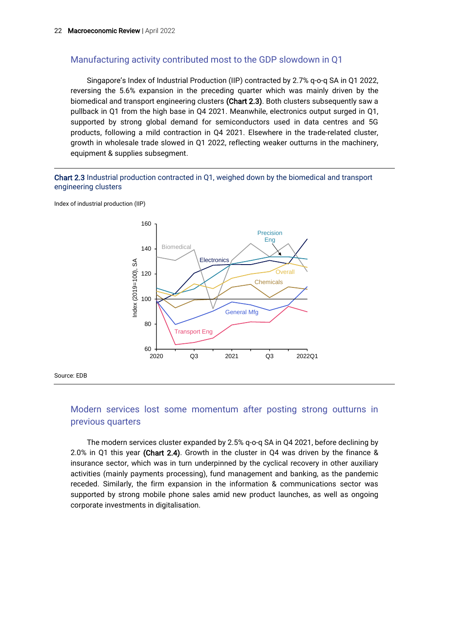### Manufacturing activity contributed most to the GDP slowdown in Q1

Singapore's Index of Industrial Production (IIP) contracted by 2.7% q-o-q SA in Q1 2022, reversing the 5.6% expansion in the preceding quarter which was mainly driven by the biomedical and transport engineering clusters (Chart 2.3). Both clusters subsequently saw a pullback in Q1 from the high base in Q4 2021. Meanwhile, electronics output surged in Q1, supported by strong global demand for semiconductors used in data centres and 5G products, following a mild contraction in Q4 2021. Elsewhere in the trade-related cluster, growth in wholesale trade slowed in Q1 2022, reflecting weaker outturns in the machinery, equipment & supplies subsegment.

#### Chart 2.3 Industrial production contracted in Q1, weighed down by the biomedical and transport engineering clusters

Index of industrial production (IIP)



Source: EDB

### Modern services lost some momentum after posting strong outturns in previous quarters

The modern services cluster expanded by 2.5% q-o-q SA in Q4 2021, before declining by 2.0% in Q1 this year (Chart 2.4). Growth in the cluster in Q4 was driven by the finance & insurance sector, which was in turn underpinned by the cyclical recovery in other auxiliary activities (mainly payments processing), fund management and banking, as the pandemic receded. Similarly, the firm expansion in the information & communications sector was supported by strong mobile phone sales amid new product launches, as well as ongoing corporate investments in digitalisation.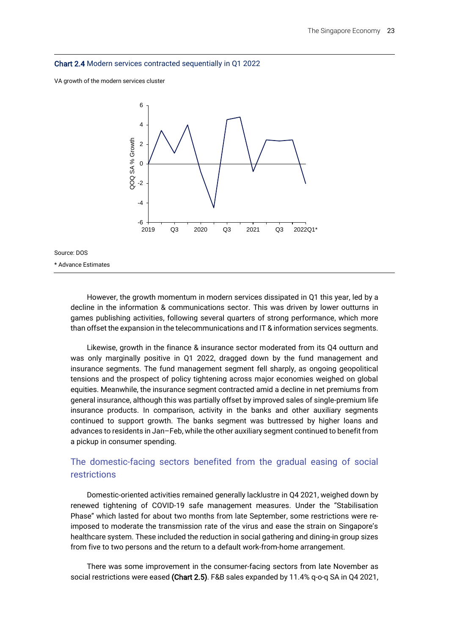#### Chart 2.4 Modern services contracted sequentially in Q1 2022

VA growth of the modern services cluster



Source: DOS

\* Advance Estimates

However, the growth momentum in modern services dissipated in Q1 this year, led by a decline in the information & communications sector. This was driven by lower outturns in games publishing activities, following several quarters of strong performance, which more than offset the expansion in the telecommunications and IT & information services segments.

Likewise, growth in the finance & insurance sector moderated from its Q4 outturn and was only marginally positive in Q1 2022, dragged down by the fund management and insurance segments. The fund management segment fell sharply, as ongoing geopolitical tensions and the prospect of policy tightening across major economies weighed on global equities. Meanwhile, the insurance segment contracted amid a decline in net premiums from general insurance, although this was partially offset by improved sales of single-premium life insurance products. In comparison, activity in the banks and other auxiliary segments continued to support growth. The banks segment was buttressed by higher loans and advances to residents in Jan–Feb, while the other auxiliary segment continued to benefit from a pickup in consumer spending.

### The domestic-facing sectors benefited from the gradual easing of social restrictions

Domestic-oriented activities remained generally lacklustre in Q4 2021, weighed down by renewed tightening of COVID-19 safe management measures. Under the "Stabilisation Phase" which lasted for about two months from late September, some restrictions were reimposed to moderate the transmission rate of the virus and ease the strain on Singapore's healthcare system. These included the reduction in social gathering and dining-in group sizes from five to two persons and the return to a default work-from-home arrangement.

There was some improvement in the consumer-facing sectors from late November as social restrictions were eased (Chart 2.5). F&B sales expanded by 11.4% q-o-q SA in Q4 2021,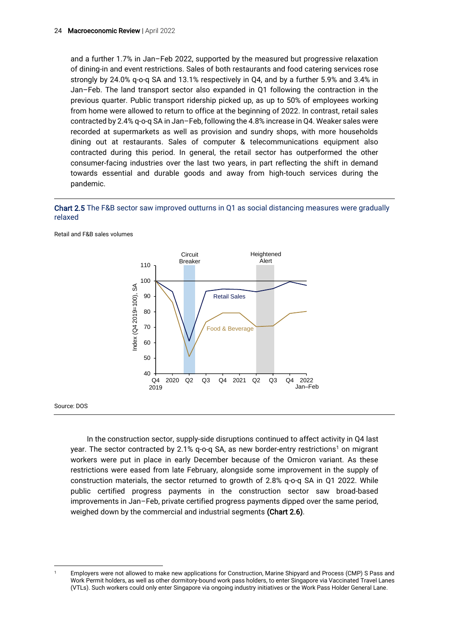and a further 1.7% in Jan–Feb 2022, supported by the measured but progressive relaxation of dining-in and event restrictions. Sales of both restaurants and food catering services rose strongly by 24.0% q-o-q SA and 13.1% respectively in Q4, and by a further 5.9% and 3.4% in Jan–Feb. The land transport sector also expanded in Q1 following the contraction in the previous quarter. Public transport ridership picked up, as up to 50% of employees working from home were allowed to return to office at the beginning of 2022. In contrast, retail sales contracted by 2.4% q-o-q SA in Jan–Feb, following the 4.8% increase in Q4. Weaker sales were recorded at supermarkets as well as provision and sundry shops, with more households dining out at restaurants. Sales of computer & telecommunications equipment also contracted during this period. In general, the retail sector has outperformed the other consumer-facing industries over the last two years, in part reflecting the shift in demand towards essential and durable goods and away from high-touch services during the pandemic.

Chart 2.5 The F&B sector saw improved outturns in Q1 as social distancing measures were gradually relaxed



Retail and F&B sales volumes

Source: DOS

In the construction sector, supply-side disruptions continued to affect activity in Q4 last year. The sector contracted by 2.1% q-o-q SA, as new border-entry restrictions<sup>1</sup> on migrant workers were put in place in early December because of the Omicron variant. As these restrictions were eased from late February, alongside some improvement in the supply of construction materials, the sector returned to growth of 2.8% q-o-q SA in Q1 2022. While public certified progress payments in the construction sector saw broad-based improvements in Jan–Feb, private certified progress payments dipped over the same period, weighed down by the commercial and industrial segments (Chart 2.6).

<sup>1</sup> Employers were not allowed to make new applications for Construction, Marine Shipyard and Process (CMP) S Pass and Work Permit holders, as well as other dormitory-bound work pass holders, to enter Singapore via Vaccinated Travel Lanes (VTLs). Such workers could only enter Singapore via ongoing industry initiatives or the Work Pass Holder General Lane.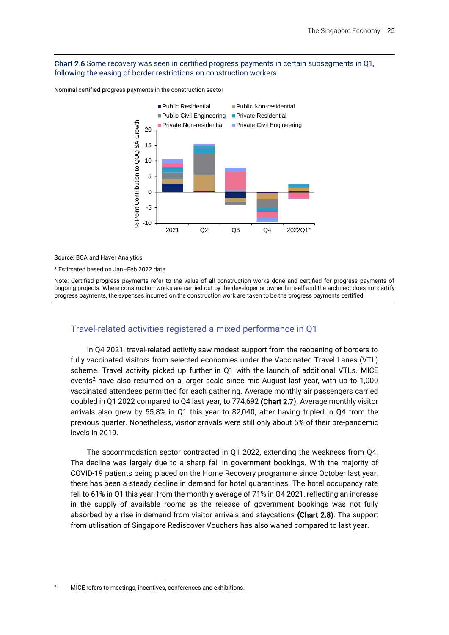#### Chart 2.6 Some recovery was seen in certified progress payments in certain subsegments in Q1, following the easing of border restrictions on construction workers





Source: BCA and Haver Analytics

\* Estimated based on Jan–Feb 2022 data

Note: Certified progress payments refer to the value of all construction works done and certified for progress payments of ongoing projects. Where construction works are carried out by the developer or owner himself and the architect does not certify progress payments, the expenses incurred on the construction work are taken to be the progress payments certified.

### Travel-related activities registered a mixed performance in Q1

In Q4 2021, travel-related activity saw modest support from the reopening of borders to fully vaccinated visitors from selected economies under the Vaccinated Travel Lanes (VTL) scheme. Travel activity picked up further in Q1 with the launch of additional VTLs. MICE events<sup>2</sup> have also resumed on a larger scale since mid-August last year, with up to  $1,000$ vaccinated attendees permitted for each gathering. Average monthly air passengers carried doubled in Q1 2022 compared to Q4 last year, to 774,692 (Chart 2.7). Average monthly visitor arrivals also grew by 55.8% in Q1 this year to 82,040, after having tripled in Q4 from the previous quarter. Nonetheless, visitor arrivals were still only about 5% of their pre-pandemic levels in 2019.

The accommodation sector contracted in Q1 2022, extending the weakness from Q4. The decline was largely due to a sharp fall in government bookings. With the majority of COVID-19 patients being placed on the Home Recovery programme since October last year, there has been a steady decline in demand for hotel quarantines. The hotel occupancy rate fell to 61% in Q1 this year, from the monthly average of 71% in Q4 2021, reflecting an increase in the supply of available rooms as the release of government bookings was not fully absorbed by a rise in demand from visitor arrivals and staycations (Chart 2.8). The support from utilisation of Singapore Rediscover Vouchers has also waned compared to last year.

<sup>&</sup>lt;sup>2</sup> MICE refers to meetings, incentives, conferences and exhibitions.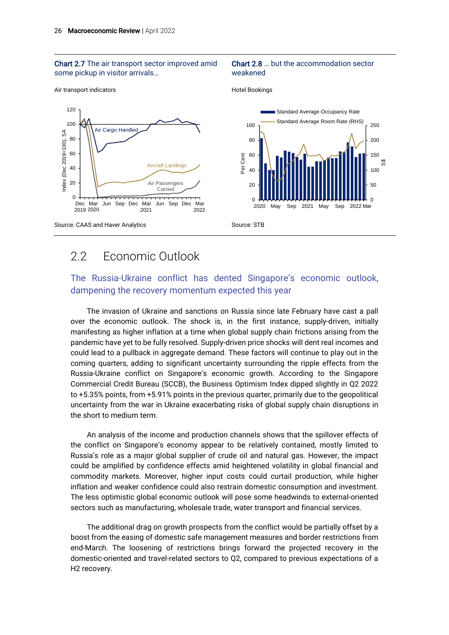#### Chart 2.7 The air transport sector improved amid some pickup in visitor arrivals…

#### Chart 2.8 … but the accommodation sector weakened

Air transport indicators



Hotel Bookings

# 2.2 Economic Outlook

### The Russia-Ukraine conflict has dented Singapore's economic outlook, dampening the recovery momentum expected this year

The invasion of Ukraine and sanctions on Russia since late February have cast a pall over the economic outlook. The shock is, in the first instance, supply-driven, initially manifesting as higher inflation at a time when global supply chain frictions arising from the pandemic have yet to be fully resolved. Supply-driven price shocks will dent real incomes and could lead to a pullback in aggregate demand. These factors will continue to play out in the coming quarters, adding to significant uncertainty surrounding the ripple effects from the Russia-Ukraine conflict on Singapore's economic growth. According to the Singapore Commercial Credit Bureau (SCCB), the Business Optimism Index dipped slightly in Q2 2022 to +5.35% points, from +5.91% points in the previous quarter, primarily due to the geopolitical uncertainty from the war in Ukraine exacerbating risks of global supply chain disruptions in the short to medium term.

An analysis of the income and production channels shows that the spillover effects of the conflict on Singapore's economy appear to be relatively contained, mostly limited to Russia's role as a major global supplier of crude oil and natural gas. However, the impact could be amplified by confidence effects amid heightened volatility in global financial and commodity markets. Moreover, higher input costs could curtail production, while higher inflation and weaker confidence could also restrain domestic consumption and investment. The less optimistic global economic outlook will pose some headwinds to external-oriented sectors such as manufacturing, wholesale trade, water transport and financial services.

The additional drag on growth prospects from the conflict would be partially offset by a boost from the easing of domestic safe management measures and border restrictions from end-March. The loosening of restrictions brings forward the projected recovery in the domestic-oriented and travel-related sectors to Q2, compared to previous expectations of a H2 recovery.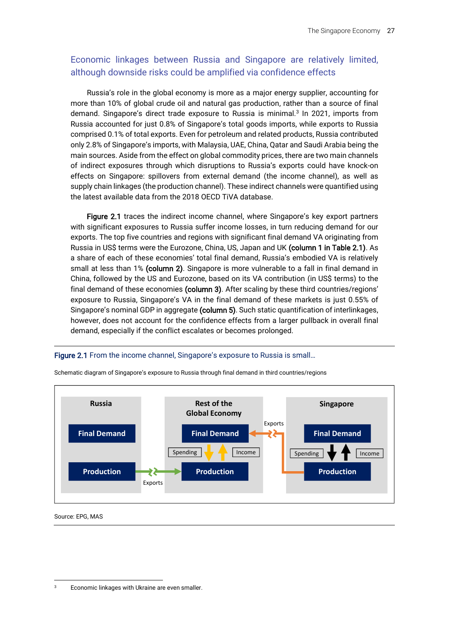### Economic linkages between Russia and Singapore are relatively limited, although downside risks could be amplified via confidence effects

Russia's role in the global economy is more as a major energy supplier, accounting for more than 10% of global crude oil and natural gas production, rather than a source of final demand. Singapore's direct trade exposure to Russia is minimal.<sup>3</sup> In 2021, imports from Russia accounted for just 0.8% of Singapore's total goods imports, while exports to Russia comprised 0.1% of total exports. Even for petroleum and related products, Russia contributed only 2.8% of Singapore's imports, with Malaysia, UAE, China, Qatar and Saudi Arabia being the main sources. Aside from the effect on global commodity prices, there are two main channels of indirect exposures through which disruptions to Russia's exports could have knock-on effects on Singapore: spillovers from external demand (the income channel), as well as supply chain linkages (the production channel). These indirect channels were quantified using the latest available data from the 2018 OECD TiVA database.

Figure 2.1 traces the indirect income channel, where Singapore's key export partners with significant exposures to Russia suffer income losses, in turn reducing demand for our exports. The top five countries and regions with significant final demand VA originating from Russia in US\$ terms were the Eurozone, China, US, Japan and UK (column 1 in Table 2.1). As a share of each of these economies' total final demand, Russia's embodied VA is relatively small at less than 1% (column 2). Singapore is more vulnerable to a fall in final demand in China, followed by the US and Eurozone, based on its VA contribution (in US\$ terms) to the final demand of these economies (column 3). After scaling by these third countries/regions' exposure to Russia, Singapore's VA in the final demand of these markets is just 0.55% of Singapore's nominal GDP in aggregate (column 5). Such static quantification of interlinkages, however, does not account for the confidence effects from a larger pullback in overall final demand, especially if the conflict escalates or becomes prolonged.

Figure 2.1 From the income channel, Singapore's exposure to Russia is small…



Schematic diagram of Singapore's exposure to Russia through final demand in third countries/regions

Source: EPG, MAS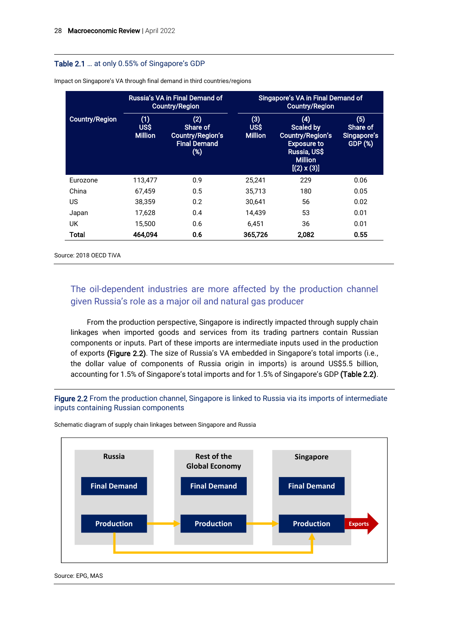#### Table 2.1 … at only 0.55% of Singapore's GDP

|                       | Russia's VA in Final Demand of<br><b>Country/Region</b> |                                                                          | Singapore's VA in Final Demand of<br>Country/Region |                                                                                                                                  |                                           |  |
|-----------------------|---------------------------------------------------------|--------------------------------------------------------------------------|-----------------------------------------------------|----------------------------------------------------------------------------------------------------------------------------------|-------------------------------------------|--|
| <b>Country/Region</b> | (1)<br><b>US\$</b><br><b>Million</b>                    | (2)<br>Share of<br><b>Country/Region's</b><br><b>Final Demand</b><br>(%) | (3)<br><b>USS</b><br><b>Million</b>                 | (4)<br><b>Scaled by</b><br><b>Country/Region's</b><br><b>Exposure to</b><br>Russia, US\$<br><b>Million</b><br>$[(2) \times (3)]$ | (5)<br>Share of<br>Singapore's<br>GDP (%) |  |
| Eurozone              | 113.477                                                 | 0.9                                                                      | 25,241                                              | 229                                                                                                                              | 0.06                                      |  |
| China                 | 67.459                                                  | 0.5                                                                      | 35,713                                              | 180                                                                                                                              | 0.05                                      |  |
| US                    | 38.359                                                  | 0.2                                                                      | 30.641                                              | 56                                                                                                                               | 0.02                                      |  |
| Japan                 | 17.628                                                  | 0.4                                                                      | 14.439                                              | 53                                                                                                                               | 0.01                                      |  |
| UK                    | 15.500                                                  | 0.6                                                                      | 6.451                                               | 36                                                                                                                               | 0.01                                      |  |
| Total                 | 464.094                                                 | 0.6                                                                      | 365.726                                             | 2,082                                                                                                                            | 0.55                                      |  |

Impact on Singapore's VA through final demand in third countries/regions

Source: 2018 OECD TiVA

### The oil-dependent industries are more affected by the production channel given Russia's role as a major oil and natural gas producer

From the production perspective, Singapore is indirectly impacted through supply chain linkages when imported goods and services from its trading partners contain Russian components or inputs. Part of these imports are intermediate inputs used in the production of exports (Figure 2.2). The size of Russia's VA embedded in Singapore's total imports (i.e., the dollar value of components of Russia origin in imports) is around US\$5.5 billion, accounting for 1.5% of Singapore's total imports and for 1.5% of Singapore's GDP (Table 2.2).

Figure 2.2 From the production channel, Singapore is linked to Russia via its imports of intermediate inputs containing Russian components



Schematic diagram of supply chain linkages between Singapore and Russia

Source: EPG, MAS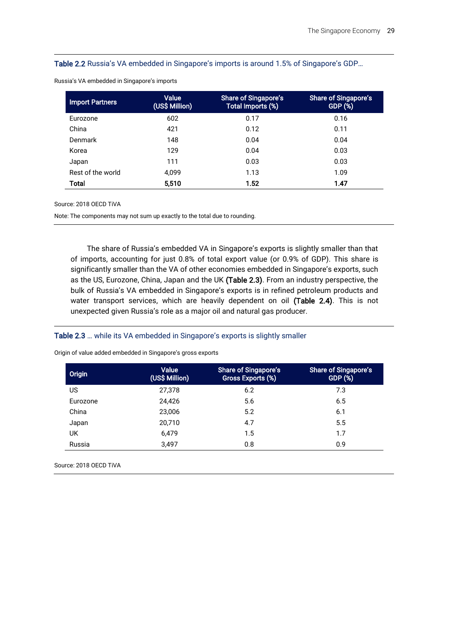#### Table 2.2 Russia's VA embedded in Singapore's imports is around 1.5% of Singapore's GDP…

| <b>Import Partners</b> | Value<br>(US\$ Million) | Share of Singapore's<br>Total Imports (%) | <b>Share of Singapore's</b><br>GDP (%) |
|------------------------|-------------------------|-------------------------------------------|----------------------------------------|
| Eurozone               | 602                     | 0.17                                      | 0.16                                   |
| China                  | 421                     | 0.12                                      | 0.11                                   |
| Denmark                | 148                     | 0.04                                      | 0.04                                   |
| Korea                  | 129                     | 0.04                                      | 0.03                                   |
| Japan                  | 111                     | 0.03                                      | 0.03                                   |
| Rest of the world      | 4.099                   | 1.13                                      | 1.09                                   |
| Total                  | 5.510                   | 1.52                                      | 1.47                                   |

Russia's VA embedded in Singapore's imports

Source: 2018 OECD TiVA

Note: The components may not sum up exactly to the total due to rounding.

The share of Russia's embedded VA in Singapore's exports is slightly smaller than that of imports, accounting for just 0.8% of total export value (or 0.9% of GDP). This share is significantly smaller than the VA of other economies embedded in Singapore's exports, such as the US, Eurozone, China, Japan and the UK (Table 2.3). From an industry perspective, the bulk of Russia's VA embedded in Singapore's exports is in refined petroleum products and water transport services, which are heavily dependent on oil (Table 2.4). This is not unexpected given Russia's role as a major oil and natural gas producer.

#### Table 2.3 … while its VA embedded in Singapore's exports is slightly smaller

| Origin   | Value<br>(US\$ Million) | <b>Share of Singapore's</b><br>Gross Exports (%) | <b>Share of Singapore's</b><br><b>GDP (%)</b> |
|----------|-------------------------|--------------------------------------------------|-----------------------------------------------|
| US       | 27,378                  | 6.2                                              | 7.3                                           |
| Eurozone | 24.426                  | 5.6                                              | 6.5                                           |
| China    | 23.006                  | 5.2                                              | 6.1                                           |
| Japan    | 20.710                  | 4.7                                              | 5.5                                           |
| UK       | 6.479                   | 1.5                                              | 1.7                                           |
| Russia   | 3.497                   | 0.8                                              | 0.9                                           |

Origin of value added embedded in Singapore's gross exports

Source: 2018 OECD TiVA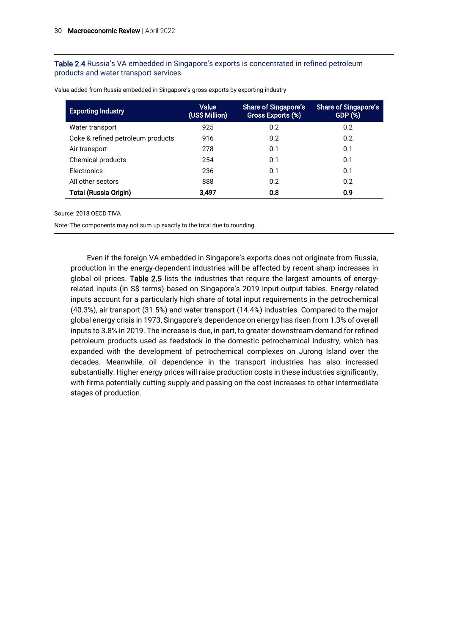#### Table 2.4 Russia's VA embedded in Singapore's exports is concentrated in refined petroleum products and water transport services

| <b>Exporting Industry</b>         | <b>Value</b><br>(US\$ Million) | <b>Share of Singapore's</b><br>Gross Exports (%) | <b>Share of Singapore's</b><br><b>GDP (%)</b> |
|-----------------------------------|--------------------------------|--------------------------------------------------|-----------------------------------------------|
| Water transport                   | 925                            | 0.2                                              | 0.2                                           |
| Coke & refined petroleum products | 916                            | 0.2                                              | 0.2                                           |
| Air transport                     | 278                            | 0.1                                              | 0.1                                           |
| Chemical products                 | 254                            | 0.1                                              | 0.1                                           |
| Electronics                       | 236                            | 0.1                                              | 0.1                                           |
| All other sectors                 | 888                            | 0.2                                              | 0.2                                           |
| <b>Total (Russia Origin)</b>      | 3.497                          | 0.8                                              | 0.9                                           |

Value added from Russia embedded in Singapore's gross exports by exporting industry

#### Source: 2018 OECD TiVA

Note: The components may not sum up exactly to the total due to rounding.

Even if the foreign VA embedded in Singapore's exports does not originate from Russia, production in the energy-dependent industries will be affected by recent sharp increases in global oil prices. Table 2.5 lists the industries that require the largest amounts of energyrelated inputs (in S\$ terms) based on Singapore's 2019 input-output tables. Energy-related inputs account for a particularly high share of total input requirements in the petrochemical (40.3%), air transport (31.5%) and water transport (14.4%) industries. Compared to the major global energy crisis in 1973, Singapore's dependence on energy has risen from 1.3% of overall inputs to 3.8% in 2019. The increase is due, in part, to greater downstream demand for refined petroleum products used as feedstock in the domestic petrochemical industry, which has expanded with the development of petrochemical complexes on Jurong Island over the decades. Meanwhile, oil dependence in the transport industries has also increased substantially. Higher energy prices will raise production costs in these industries significantly, with firms potentially cutting supply and passing on the cost increases to other intermediate stages of production.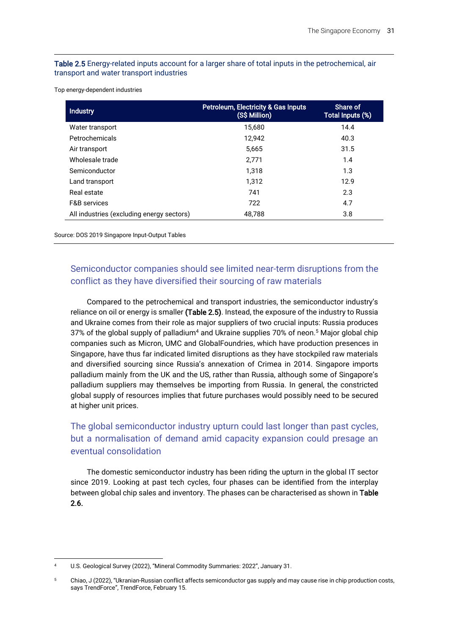#### Table 2.5 Energy-related inputs account for a larger share of total inputs in the petrochemical, air transport and water transport industries

Top energy-dependent industries

| <b>Industry</b>                           | Petroleum, Electricity & Gas Inputs<br>(S\$ Million) | Share of<br>Total Inputs (%) |
|-------------------------------------------|------------------------------------------------------|------------------------------|
| Water transport                           | 15.680                                               | 14.4                         |
| Petrochemicals                            | 12.942                                               | 40.3                         |
| Air transport                             | 5,665                                                | 31.5                         |
| Wholesale trade                           | 2.771                                                | 1.4                          |
| Semiconductor                             | 1.318                                                | 1.3                          |
| Land transport                            | 1.312                                                | 12.9                         |
| Real estate                               | 741                                                  | 2.3                          |
| <b>F&amp;B</b> services                   | 722                                                  | 4.7                          |
| All industries (excluding energy sectors) | 48,788                                               | 3.8                          |

Source: DOS 2019 Singapore Input-Output Tables

### Semiconductor companies should see limited near-term disruptions from the conflict as they have diversified their sourcing of raw materials

Compared to the petrochemical and transport industries, the semiconductor industry's reliance on oil or energy is smaller (Table 2.5). Instead, the exposure of the industry to Russia and Ukraine comes from their role as major suppliers of two crucial inputs: Russia produces 37% of the global supply of palladium<sup>4</sup> and Ukraine supplies 70% of neon.<sup>5</sup> Major global chip companies such as Micron, UMC and GlobalFoundries, which have production presences in Singapore, have thus far indicated limited disruptions as they have stockpiled raw materials and diversified sourcing since Russia's annexation of Crimea in 2014. Singapore imports palladium mainly from the UK and the US, rather than Russia, although some of Singapore's palladium suppliers may themselves be importing from Russia. In general, the constricted global supply of resources implies that future purchases would possibly need to be secured at higher unit prices.

### The global semiconductor industry upturn could last longer than past cycles, but a normalisation of demand amid capacity expansion could presage an eventual consolidation

The domestic semiconductor industry has been riding the upturn in the global IT sector since 2019. Looking at past tech cycles, four phases can be identified from the interplay between global chip sales and inventory. The phases can be characterised as shown in Table 2.6.

U.S. Geological Survey (2022), "Mineral Commodity Summaries: 2022", January 31.

<sup>5</sup> Chiao, J (2022), "Ukranian-Russian conflict affects semiconductor gas supply and may cause rise in chip production costs, says TrendForce", TrendForce, February 15.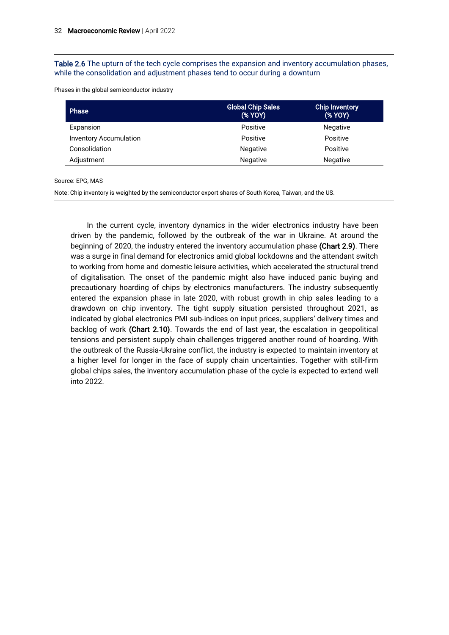Table 2.6 The upturn of the tech cycle comprises the expansion and inventory accumulation phases, while the consolidation and adjustment phases tend to occur during a downturn

Phases in the global semiconductor industry

| <b>Phase</b>                  | <b>Global Chip Sales</b><br>(% YOY) | Chip Inventory<br>(% YOY) |
|-------------------------------|-------------------------------------|---------------------------|
| Expansion                     | Positive                            | <b>Negative</b>           |
| <b>Inventory Accumulation</b> | Positive                            | Positive                  |
| Consolidation                 | <b>Negative</b>                     | Positive                  |
| Adjustment                    | <b>Negative</b>                     | <b>Negative</b>           |

Source: EPG, MAS

Note: Chip inventory is weighted by the semiconductor export shares of South Korea, Taiwan, and the US.

In the current cycle, inventory dynamics in the wider electronics industry have been driven by the pandemic, followed by the outbreak of the war in Ukraine. At around the beginning of 2020, the industry entered the inventory accumulation phase (Chart 2.9). There was a surge in final demand for electronics amid global lockdowns and the attendant switch to working from home and domestic leisure activities, which accelerated the structural trend of digitalisation. The onset of the pandemic might also have induced panic buying and precautionary hoarding of chips by electronics manufacturers. The industry subsequently entered the expansion phase in late 2020, with robust growth in chip sales leading to a drawdown on chip inventory. The tight supply situation persisted throughout 2021, as indicated by global electronics PMI sub-indices on input prices, suppliers' delivery times and backlog of work (Chart 2.10). Towards the end of last year, the escalation in geopolitical tensions and persistent supply chain challenges triggered another round of hoarding. With the outbreak of the Russia-Ukraine conflict, the industry is expected to maintain inventory at a higher level for longer in the face of supply chain uncertainties. Together with still-firm global chips sales, the inventory accumulation phase of the cycle is expected to extend well into 2022.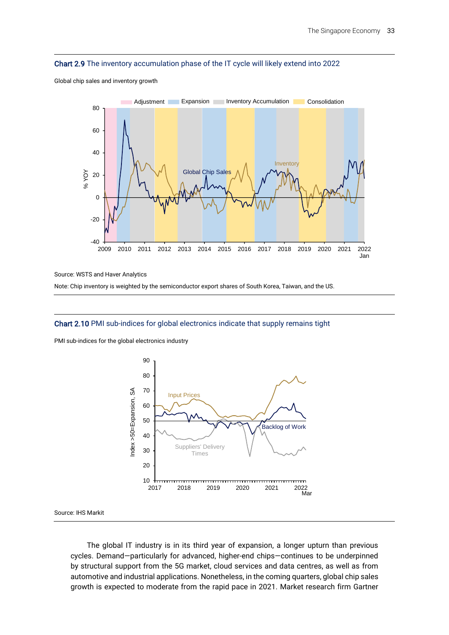#### Chart 2.9 The inventory accumulation phase of the IT cycle will likely extend into 2022



Global chip sales and inventory growth

Source: WSTS and Haver Analytics

Note: Chip inventory is weighted by the semiconductor export shares of South Korea, Taiwan, and the US.

#### Chart 2.10 PMI sub-indices for global electronics indicate that supply remains tight

PMI sub-indices for the global electronics industry



Source: IHS Markit

The global IT industry is in its third year of expansion, a longer upturn than previous cycles. Demand—particularly for advanced, higher-end chips—continues to be underpinned by structural support from the 5G market, cloud services and data centres, as well as from automotive and industrial applications. Nonetheless, in the coming quarters, global chip sales growth is expected to moderate from the rapid pace in 2021. Market research firm Gartner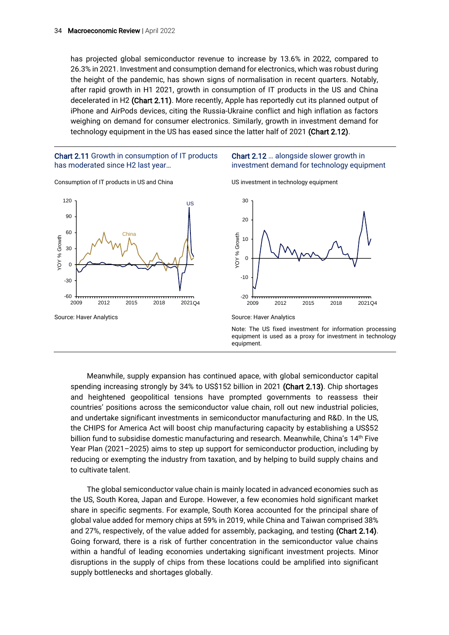has projected global semiconductor revenue to increase by 13.6% in 2022, compared to 26.3% in 2021. Investment and consumption demand for electronics, which was robust during the height of the pandemic, has shown signs of normalisation in recent quarters. Notably, after rapid growth in H1 2021, growth in consumption of IT products in the US and China decelerated in H2 (Chart 2.11). More recently, Apple has reportedly cut its planned output of iPhone and AirPods devices, citing the Russia-Ukraine conflict and high inflation as factors weighing on demand for consumer electronics. Similarly, growth in investment demand for technology equipment in the US has eased since the latter half of 2021 (Chart 2.12).

#### Chart 2.11 Growth in consumption of IT products has moderated since H2 last year…





#### Chart 2.12 … alongside slower growth in investment demand for technology equipment

US investment in technology equipment





Note: The US fixed investment for information processing equipment is used as a proxy for investment in technology equipment.

Meanwhile, supply expansion has continued apace, with global semiconductor capital spending increasing strongly by 34% to US\$152 billion in 2021 (Chart 2.13). Chip shortages and heightened geopolitical tensions have prompted governments to reassess their countries' positions across the semiconductor value chain, roll out new industrial policies, and undertake significant investments in semiconductor manufacturing and R&D. In the US, the CHIPS for America Act will boost chip manufacturing capacity by establishing a US\$52 billion fund to subsidise domestic manufacturing and research. Meanwhile, China's 14<sup>th</sup> Five Year Plan (2021–2025) aims to step up support for semiconductor production, including by reducing or exempting the industry from taxation, and by helping to build supply chains and to cultivate talent.

The global semiconductor value chain is mainly located in advanced economies such as the US, South Korea, Japan and Europe. However, a few economies hold significant market share in specific segments. For example, South Korea accounted for the principal share of global value added for memory chips at 59% in 2019, while China and Taiwan comprised 38% and 27%, respectively, of the value added for assembly, packaging, and testing (Chart 2.14). Going forward, there is a risk of further concentration in the semiconductor value chains within a handful of leading economies undertaking significant investment projects. Minor disruptions in the supply of chips from these locations could be amplified into significant supply bottlenecks and shortages globally.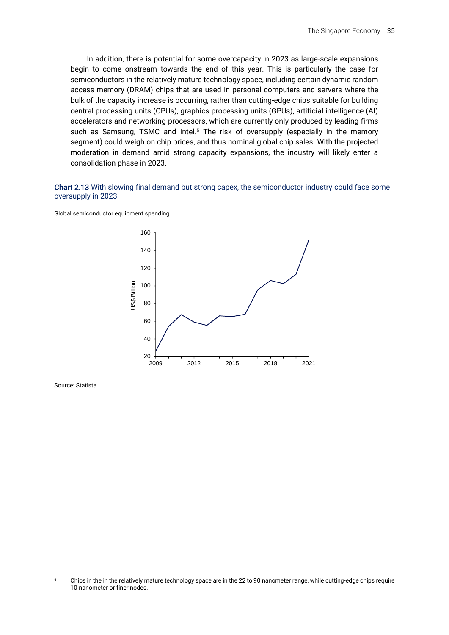In addition, there is potential for some overcapacity in 2023 as large-scale expansions begin to come onstream towards the end of this year. This is particularly the case for semiconductors in the relatively mature technology space, including certain dynamic random access memory (DRAM) chips that are used in personal computers and servers where the bulk of the capacity increase is occurring, rather than cutting-edge chips suitable for building central processing units (CPUs), graphics processing units (GPUs), artificial intelligence (AI) accelerators and networking processors, which are currently only produced by leading firms such as Samsung, TSMC and Intel.<sup>6</sup> The risk of oversupply (especially in the memory segment) could weigh on chip prices, and thus nominal global chip sales. With the projected moderation in demand amid strong capacity expansions, the industry will likely enter a consolidation phase in 2023.

Chart 2.13 With slowing final demand but strong capex, the semiconductor industry could face some oversupply in 2023





Source: Statista

<sup>6</sup> Chips in the in the relatively mature technology space are in the 22 to 90 nanometer range, while cutting-edge chips require 10-nanometer or finer nodes.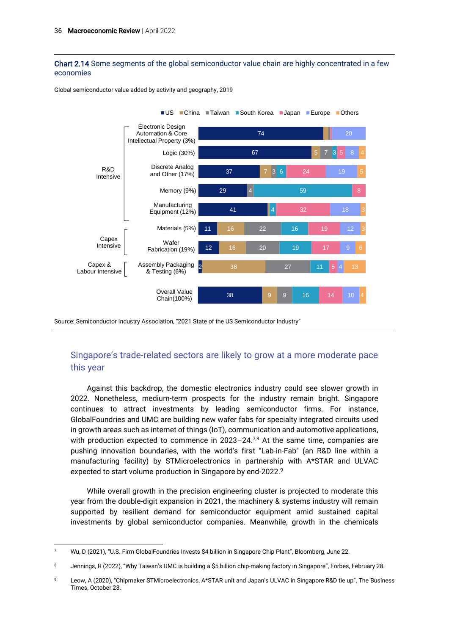Chart 2.14 Some segments of the global semiconductor value chain are highly concentrated in a few economies



Global semiconductor value added by activity and geography, 2019

Source: Semiconductor Industry Association, "2021 State of the US Semiconductor Industry"

### Singapore's trade-related sectors are likely to grow at a more moderate pace this year

Against this backdrop, the domestic electronics industry could see slower growth in 2022. Nonetheless, medium-term prospects for the industry remain bright. Singapore continues to attract investments by leading semiconductor firms. For instance, GlobalFoundries and UMC are building new wafer fabs for specialty integrated circuits used in growth areas such as internet of things (IoT), communication and automotive applications, with production expected to commence in  $2023 - 24^{7.8}$  At the same time, companies are pushing innovation boundaries, with the world's first "Lab-in-Fab" (an R&D line within a manufacturing facility) by STMicroelectronics in partnership with A\*STAR and ULVAC expected to start volume production in Singapore by end-2022. 9

While overall growth in the precision engineering cluster is projected to moderate this year from the double-digit expansion in 2021, the machinery & systems industry will remain supported by resilient demand for semiconductor equipment amid sustained capital investments by global semiconductor companies. Meanwhile, growth in the chemicals

<sup>7</sup> Wu, D (2021), "U.S. Firm GlobalFoundries Invests \$4 billion in Singapore Chip Plant", Bloomberg, June 22.

<sup>8</sup> Jennings, R (2022), "Why Taiwan's UMC is building a \$5 billion chip-making factory in Singapore", Forbes, February 28.

<sup>9</sup> Leow, A (2020), "Chipmaker STMicroelectronics, A\*STAR unit and Japan's ULVAC in Singapore R&D tie up", The Business Times, October 28.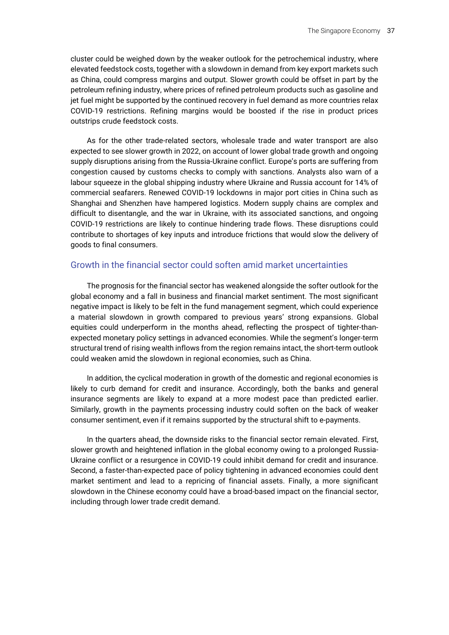cluster could be weighed down by the weaker outlook for the petrochemical industry, where elevated feedstock costs, together with a slowdown in demand from key export markets such as China, could compress margins and output. Slower growth could be offset in part by the petroleum refining industry, where prices of refined petroleum products such as gasoline and jet fuel might be supported by the continued recovery in fuel demand as more countries relax COVID-19 restrictions. Refining margins would be boosted if the rise in product prices outstrips crude feedstock costs.

As for the other trade-related sectors, wholesale trade and water transport are also expected to see slower growth in 2022, on account of lower global trade growth and ongoing supply disruptions arising from the Russia-Ukraine conflict. Europe's ports are suffering from congestion caused by customs checks to comply with sanctions. Analysts also warn of a labour squeeze in the global shipping industry where Ukraine and Russia account for 14% of commercial seafarers. Renewed COVID-19 lockdowns in major port cities in China such as Shanghai and Shenzhen have hampered logistics. Modern supply chains are complex and difficult to disentangle, and the war in Ukraine, with its associated sanctions, and ongoing COVID-19 restrictions are likely to continue hindering trade flows. These disruptions could contribute to shortages of key inputs and introduce frictions that would slow the delivery of goods to final consumers.

### Growth in the financial sector could soften amid market uncertainties

The prognosis for the financial sector has weakened alongside the softer outlook for the global economy and a fall in business and financial market sentiment. The most significant negative impact is likely to be felt in the fund management segment, which could experience a material slowdown in growth compared to previous years' strong expansions. Global equities could underperform in the months ahead, reflecting the prospect of tighter-thanexpected monetary policy settings in advanced economies. While the segment's longer-term structural trend of rising wealth inflows from the region remains intact, the short-term outlook could weaken amid the slowdown in regional economies, such as China.

In addition, the cyclical moderation in growth of the domestic and regional economies is likely to curb demand for credit and insurance. Accordingly, both the banks and general insurance segments are likely to expand at a more modest pace than predicted earlier. Similarly, growth in the payments processing industry could soften on the back of weaker consumer sentiment, even if it remains supported by the structural shift to e-payments.

In the quarters ahead, the downside risks to the financial sector remain elevated. First, slower growth and heightened inflation in the global economy owing to a prolonged Russia-Ukraine conflict or a resurgence in COVID-19 could inhibit demand for credit and insurance. Second, a faster-than-expected pace of policy tightening in advanced economies could dent market sentiment and lead to a repricing of financial assets. Finally, a more significant slowdown in the Chinese economy could have a broad-based impact on the financial sector, including through lower trade credit demand.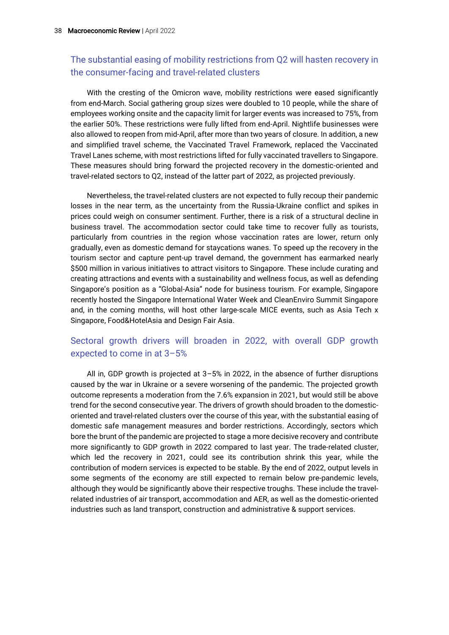### The substantial easing of mobility restrictions from Q2 will hasten recovery in the consumer-facing and travel-related clusters

With the cresting of the Omicron wave, mobility restrictions were eased significantly from end-March. Social gathering group sizes were doubled to 10 people, while the share of employees working onsite and the capacity limit for larger events was increased to 75%, from the earlier 50%. These restrictions were fully lifted from end-April. Nightlife businesses were also allowed to reopen from mid-April, after more than two years of closure. In addition, a new and simplified travel scheme, the Vaccinated Travel Framework, replaced the Vaccinated Travel Lanes scheme, with most restrictions lifted for fully vaccinated travellers to Singapore. These measures should bring forward the projected recovery in the domestic-oriented and travel-related sectors to Q2, instead of the latter part of 2022, as projected previously.

Nevertheless, the travel-related clusters are not expected to fully recoup their pandemic losses in the near term, as the uncertainty from the Russia-Ukraine conflict and spikes in prices could weigh on consumer sentiment. Further, there is a risk of a structural decline in business travel. The accommodation sector could take time to recover fully as tourists, particularly from countries in the region whose vaccination rates are lower, return only gradually, even as domestic demand for staycations wanes. To speed up the recovery in the tourism sector and capture pent-up travel demand, the government has earmarked nearly \$500 million in various initiatives to attract visitors to Singapore. These include curating and creating attractions and events with a sustainability and wellness focus, as well as defending Singapore's position as a "Global-Asia" node for business tourism. For example, Singapore recently hosted the Singapore International Water Week and CleanEnviro Summit Singapore and, in the coming months, will host other large-scale MICE events, such as Asia Tech x Singapore, Food&HotelAsia and Design Fair Asia.

### Sectoral growth drivers will broaden in 2022, with overall GDP growth expected to come in at 3–5%

All in, GDP growth is projected at 3–5% in 2022, in the absence of further disruptions caused by the war in Ukraine or a severe worsening of the pandemic. The projected growth outcome represents a moderation from the 7.6% expansion in 2021, but would still be above trend for the second consecutive year. The drivers of growth should broaden to the domesticoriented and travel-related clusters over the course of this year, with the substantial easing of domestic safe management measures and border restrictions. Accordingly, sectors which bore the brunt of the pandemic are projected to stage a more decisive recovery and contribute more significantly to GDP growth in 2022 compared to last year. The trade-related cluster, which led the recovery in 2021, could see its contribution shrink this year, while the contribution of modern services is expected to be stable. By the end of 2022, output levels in some segments of the economy are still expected to remain below pre-pandemic levels, although they would be significantly above their respective troughs. These include the travelrelated industries of air transport, accommodation and AER, as well as the domestic-oriented industries such as land transport, construction and administrative & support services.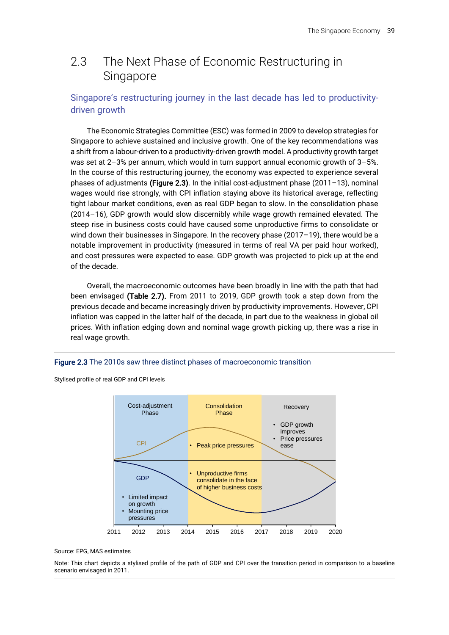# 2.3 The Next Phase of Economic Restructuring in Singapore

### Singapore's restructuring journey in the last decade has led to productivitydriven growth

The Economic Strategies Committee (ESC) was formed in 2009 to develop strategies for Singapore to achieve sustained and inclusive growth. One of the key recommendations was a shift from a labour-driven to a productivity-driven growth model. A productivity growth target was set at 2–3% per annum, which would in turn support annual economic growth of 3–5%. In the course of this restructuring journey, the economy was expected to experience several phases of adjustments (Figure 2.3). In the initial cost-adjustment phase (2011–13), nominal wages would rise strongly, with CPI inflation staying above its historical average, reflecting tight labour market conditions, even as real GDP began to slow. In the consolidation phase (2014–16), GDP growth would slow discernibly while wage growth remained elevated. The steep rise in business costs could have caused some unproductive firms to consolidate or wind down their businesses in Singapore. In the recovery phase (2017-19), there would be a notable improvement in productivity (measured in terms of real VA per paid hour worked), and cost pressures were expected to ease. GDP growth was projected to pick up at the end of the decade.

Overall, the macroeconomic outcomes have been broadly in line with the path that had been envisaged (Table 2.7). From 2011 to 2019, GDP growth took a step down from the previous decade and became increasingly driven by productivity improvements. However, CPI inflation was capped in the latter half of the decade, in part due to the weakness in global oil prices. With inflation edging down and nominal wage growth picking up, there was a rise in real wage growth.

#### Figure 2.3 The 2010s saw three distinct phases of macroeconomic transition

Stylised profile of real GDP and CPI levels



#### Source: EPG, MAS estimates

Note: This chart depicts a stylised profile of the path of GDP and CPI over the transition period in comparison to a baseline scenario envisaged in 2011.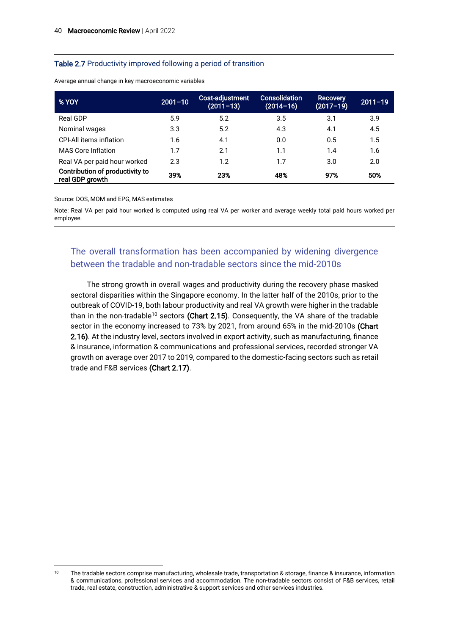#### Table 2.7 Productivity improved following a period of transition

| % YOY                                              | $2001 - 10$ | Cost-adjustment<br>$(2011 - 13)$ | <b>Consolidation</b><br>$(2014 - 16)$ | <b>Recovery</b><br>$(2017 - 19)$ | $2011 - 19$ |
|----------------------------------------------------|-------------|----------------------------------|---------------------------------------|----------------------------------|-------------|
| Real GDP                                           | 5.9         | 5.2                              | 3.5                                   | 3.1                              | 3.9         |
| Nominal wages                                      | 3.3         | 5.2                              | 4.3                                   | 4.1                              | 4.5         |
| <b>CPI-All items inflation</b>                     | 1.6         | 4.1                              | 0.0                                   | 0.5                              | 1.5         |
| <b>MAS Core Inflation</b>                          | 1.7         | 2.1                              | 1.1                                   | 1.4                              | 1.6         |
| Real VA per paid hour worked                       | 2.3         | 1.2                              | 1.7                                   | 3.0                              | 2.0         |
| Contribution of productivity to<br>real GDP growth | 39%         | 23%                              | 48%                                   | 97%                              | 50%         |

Average annual change in key macroeconomic variables

Source: DOS, MOM and EPG, MAS estimates

Note: Real VA per paid hour worked is computed using real VA per worker and average weekly total paid hours worked per employee.

### The overall transformation has been accompanied by widening divergence between the tradable and non-tradable sectors since the mid-2010s

The strong growth in overall wages and productivity during the recovery phase masked sectoral disparities within the Singapore economy. In the latter half of the 2010s, prior to the outbreak of COVID-19, both labour productivity and real VA growth were higher in the tradable than in the non-tradable<sup>10</sup> sectors (Chart 2.15). Consequently, the VA share of the tradable sector in the economy increased to 73% by 2021, from around 65% in the mid-2010s (Chart 2.16). At the industry level, sectors involved in export activity, such as manufacturing, finance & insurance, information & communications and professional services, recorded stronger VA growth on average over 2017 to 2019, compared to the domestic-facing sectors such as retail trade and F&B services (Chart 2.17).

<sup>&</sup>lt;sup>10</sup> The tradable sectors comprise manufacturing, wholesale trade, transportation & storage, finance & insurance, information & communications, professional services and accommodation. The non-tradable sectors consist of F&B services, retail trade, real estate, construction, administrative & support services and other services industries.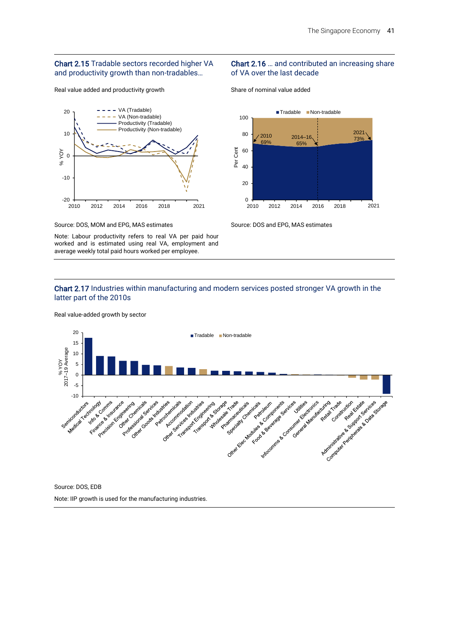#### Chart 2.15 Tradable sectors recorded higher VA and productivity growth than non-tradables…

Real value added and productivity growth



Source: DOS, MOM and EPG, MAS estimates

Note: Labour productivity refers to real VA per paid hour worked and is estimated using real VA, employment and average weekly total paid hours worked per employee.

#### Chart 2.16 … and contributed an increasing share of VA over the last decade

Share of nominal value added



Source: DOS and EPG, MAS estimates

#### Chart 2.17 Industries within manufacturing and modern services posted stronger VA growth in the latter part of the 2010s

20 ■Tradable Non-tradable 15 % YOY<br>2017–19 Average 10 5 0 -5 Advisor to the control of the control of the control of the control of the control of the control of the control of the control of the control of the control of the control of the control of the control of the control of t I Arcocomic & Contenting States of March 2015 Advisor de la construction de la construction de la construction de la construction de la construction de la construction de la construction de la construction de la construction de la construction de la construction de la Outres received to the defender of the company of the company of the company of the company of the company of Individual Assemblance of Castros Freeholder Report For Section 2 and -10 Land of Microsoft Financial Catalogue Processing company Charles Contractor Charles Charles Charles Oilean Francisco Architecture Control of the control of the extra processes de la completed assignment Procedure of the company Procedures companion International Americans Patrimo Trade Participality Privative claims

Real value-added growth by sector

Source: DOS, EDB Note: IIP growth is used for the manufacturing industries.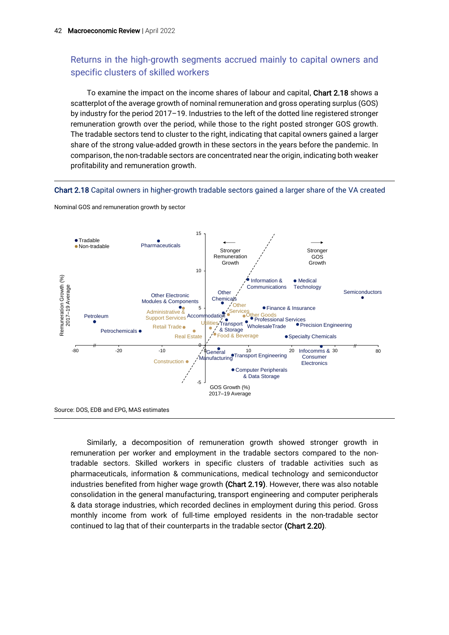### Returns in the high-growth segments accrued mainly to capital owners and specific clusters of skilled workers

To examine the impact on the income shares of labour and capital, Chart 2.18 shows a scatterplot of the average growth of nominal remuneration and gross operating surplus (GOS) by industry for the period 2017–19. Industries to the left of the dotted line registered stronger remuneration growth over the period, while those to the right posted stronger GOS growth. The tradable sectors tend to cluster to the right, indicating that capital owners gained a larger share of the strong value-added growth in these sectors in the years before the pandemic. In comparison, the non-tradable sectors are concentrated near the origin, indicating both weaker profitability and remuneration growth.

#### Chart 2.18 Capital owners in higher-growth tradable sectors gained a larger share of the VA created



Nominal GOS and remuneration growth by sector

Similarly, a decomposition of remuneration growth showed stronger growth in remuneration per worker and employment in the tradable sectors compared to the nontradable sectors. Skilled workers in specific clusters of tradable activities such as pharmaceuticals, information & communications, medical technology and semiconductor industries benefited from higher wage growth (Chart 2.19). However, there was also notable consolidation in the general manufacturing, transport engineering and computer peripherals & data storage industries, which recorded declines in employment during this period. Gross monthly income from work of full-time employed residents in the non-tradable sector continued to lag that of their counterparts in the tradable sector (Chart 2.20).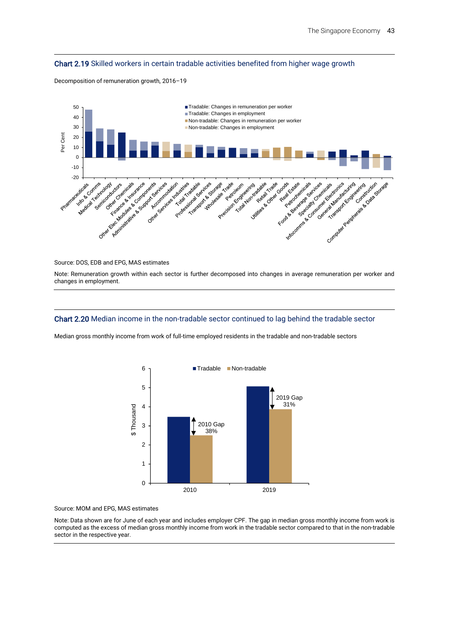#### Chart 2.19 Skilled workers in certain tradable activities benefited from higher wage growth

Decomposition of remuneration growth, 2016–19



#### Source: DOS, EDB and EPG, MAS estimates

Note: Remuneration growth within each sector is further decomposed into changes in average remuneration per worker and changes in employment.

#### Chart 2.20 Median income in the non-tradable sector continued to lag behind the tradable sector

Median gross monthly income from work of full-time employed residents in the tradable and non-tradable sectors



Source: MOM and EPG, MAS estimates

Note: Data shown are for June of each year and includes employer CPF. The gap in median gross monthly income from work is computed as the excess of median gross monthly income from work in the tradable sector compared to that in the non-tradable sector in the respective year.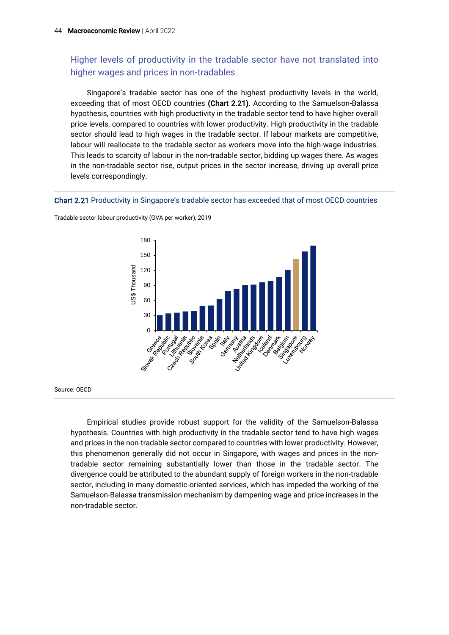### Higher levels of productivity in the tradable sector have not translated into higher wages and prices in non-tradables

Singapore's tradable sector has one of the highest productivity levels in the world, exceeding that of most OECD countries (Chart 2.21). According to the Samuelson-Balassa hypothesis, countries with high productivity in the tradable sector tend to have higher overall price levels, compared to countries with lower productivity. High productivity in the tradable sector should lead to high wages in the tradable sector. If labour markets are competitive, labour will reallocate to the tradable sector as workers move into the high-wage industries. This leads to scarcity of labour in the non-tradable sector, bidding up wages there. As wages in the non-tradable sector rise, output prices in the sector increase, driving up overall price levels correspondingly.

#### Chart 2.21 Productivity in Singapore's tradable sector has exceeded that of most OECD countries



Tradable sector labour productivity (GVA per worker), 2019

Source: OECD

Empirical studies provide robust support for the validity of the Samuelson-Balassa hypothesis. Countries with high productivity in the tradable sector tend to have high wages and prices in the non-tradable sector compared to countries with lower productivity. However, this phenomenon generally did not occur in Singapore, with wages and prices in the nontradable sector remaining substantially lower than those in the tradable sector. The divergence could be attributed to the abundant supply of foreign workers in the non-tradable sector, including in many domestic-oriented services, which has impeded the working of the Samuelson-Balassa transmission mechanism by dampening wage and price increases in the non-tradable sector.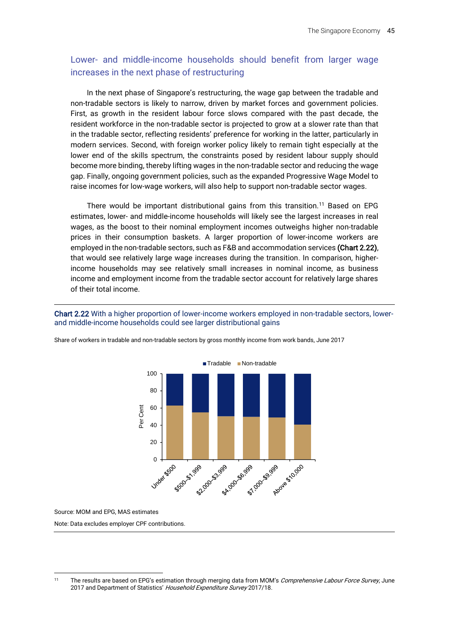### Lower- and middle-income households should benefit from larger wage increases in the next phase of restructuring

In the next phase of Singapore's restructuring, the wage gap between the tradable and non-tradable sectors is likely to narrow, driven by market forces and government policies. First, as growth in the resident labour force slows compared with the past decade, the resident workforce in the non-tradable sector is projected to grow at a slower rate than that in the tradable sector, reflecting residents' preference for working in the latter, particularly in modern services. Second, with foreign worker policy likely to remain tight especially at the lower end of the skills spectrum, the constraints posed by resident labour supply should become more binding, thereby lifting wages in the non-tradable sector and reducing the wage gap. Finally, ongoing government policies, such as the expanded Progressive Wage Model to raise incomes for low-wage workers, will also help to support non-tradable sector wages.

There would be important distributional gains from this transition.<sup>11</sup> Based on EPG estimates, lower- and middle-income households will likely see the largest increases in real wages, as the boost to their nominal employment incomes outweighs higher non-tradable prices in their consumption baskets. A larger proportion of lower-income workers are employed in the non-tradable sectors, such as F&B and accommodation services (Chart 2.22), that would see relatively large wage increases during the transition. In comparison, higherincome households may see relatively small increases in nominal income, as business income and employment income from the tradable sector account for relatively large shares of their total income.

Chart 2.22 With a higher proportion of lower-income workers employed in non-tradable sectors, lowerand middle-income households could see larger distributional gains



Share of workers in tradable and non-tradable sectors by gross monthly income from work bands, June 2017

Source: MOM and EPG, MAS estimates

Note: Data excludes employer CPF contributions.

<sup>&</sup>lt;sup>11</sup> The results are based on EPG's estimation through merging data from MOM's Comprehensive Labour Force Survey, June 2017 and Department of Statistics' Household Expenditure Survey 2017/18.